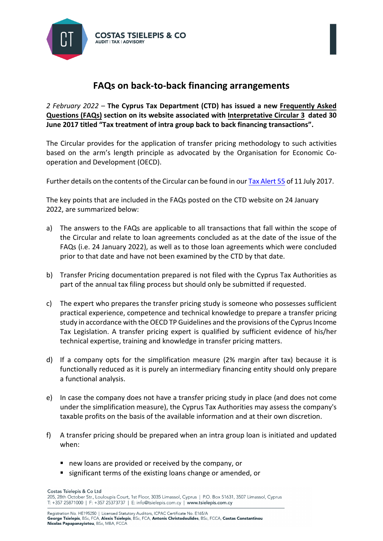

## **FAQs on back-to-back financing arrangements**

*2 February 2022* – **The Cyprus Tax Department (CTD) has issued a new [Frequently Asked](https://www.mof.gov.cy/mof/TAX/taxdep.nsf/All/16CBFD1BFE586123C22587D4002AFE3F?OpenDocument)  [Questions \(FAQs\)](https://www.mof.gov.cy/mof/TAX/taxdep.nsf/All/16CBFD1BFE586123C22587D4002AFE3F?OpenDocument) section on its website associated wit[h Interpretative Circular 3](https://www.mof.gov.cy/mof/tax/taxdep.nsf/All/8533B85FF1404F76C22582180042152D/$file/%CE%95%CE%95%203%20%CE%A6%CF%8C%CF%81%CE%BF%CF%82%20%CE%95%CE%B9%CF%83%CE%BF%CE%B4%CE%AE%CE%BC%CE%B1%CF%84%CE%BF%CF%82.pdf?OpenElement) dated 30 June 2017 titled "Tax treatment of intra group back to back financing transactions".**

The Circular provides for the application of transfer pricing methodology to such activities based on the arm's length principle as advocated by the Organisation for Economic Cooperation and Development (OECD).

Further details on the contents of the Circular can be found in ou[r Tax Alert](https://tsielepis.com.cy/e-library/) 55 of 11 July 2017.

The key points that are included in the FAQs posted on the CTD website on 24 January 2022, are summarized below:

- a) The answers to the FAQs are applicable to all transactions that fall within the scope of the Circular and relate to loan agreements concluded as at the date of the issue of the FAQs (i.e. 24 January 2022), as well as to those loan agreements which were concluded prior to that date and have not been examined by the CTD by that date.
- b) Transfer Pricing documentation prepared is not filed with the Cyprus Tax Authorities as part of the annual tax filing process but should only be submitted if requested.
- c) The expert who prepares the transfer pricing study is someone who possesses sufficient practical experience, competence and technical knowledge to prepare a transfer pricing study in accordance with the OECD TP Guidelines and the provisions of the Cyprus Income Tax Legislation. A transfer pricing expert is qualified by sufficient evidence of his/her technical expertise, training and knowledge in transfer pricing matters.
- d) If a company opts for the simplification measure (2% margin after tax) because it is functionally reduced as it is purely an intermediary financing entity should only prepare a functional analysis.
- e) In case the company does not have a transfer pricing study in place (and does not come under the simplification measure), the Cyprus Tax Authorities may assess the company's taxable profits on the basis of the available information and at their own discretion.
- f) A transfer pricing should be prepared when an intra group loan is initiated and updated when:
	- new loans are provided or received by the company, or
	- **significant terms of the existing loans change or amended, or**

Costas Tsielepis & Co Ltd 205, 28th October Str., Louloupis Court, 1st Floor, 3035 Limassol, Cyprus | P.O. Box 51631, 3507 Limassol, Cyprus T: +357 25871000 | F: +357 25373737 | E: info@tsielepis.com.cy | www.tsielepis.com.cy